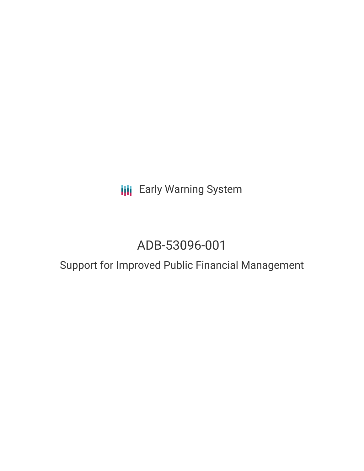**III** Early Warning System

# ADB-53096-001

## Support for Improved Public Financial Management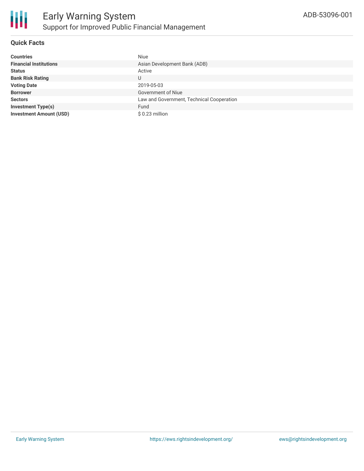

#### **Quick Facts**

| <b>Countries</b>               | <b>Niue</b>                               |
|--------------------------------|-------------------------------------------|
| <b>Financial Institutions</b>  | Asian Development Bank (ADB)              |
| <b>Status</b>                  | Active                                    |
| <b>Bank Risk Rating</b>        | U                                         |
| <b>Voting Date</b>             | 2019-05-03                                |
| <b>Borrower</b>                | Government of Niue                        |
| <b>Sectors</b>                 | Law and Government, Technical Cooperation |
| <b>Investment Type(s)</b>      | Fund                                      |
| <b>Investment Amount (USD)</b> | $$0.23$ million                           |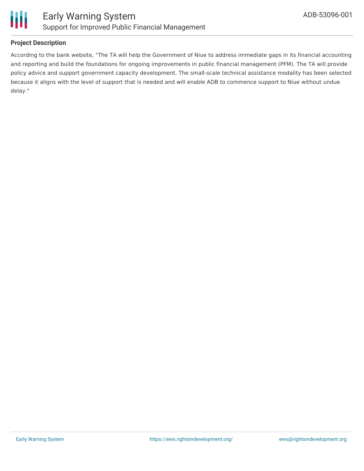

#### **Project Description**

According to the bank website, "The TA will help the Government of Niue to address immediate gaps in its financial accounting and reporting and build the foundations for ongoing improvements in public financial management (PFM). The TA will provide policy advice and support government capacity development. The small-scale technical assistance modality has been selected because it aligns with the level of support that is needed and will enable ADB to commence support to Niue without undue delay."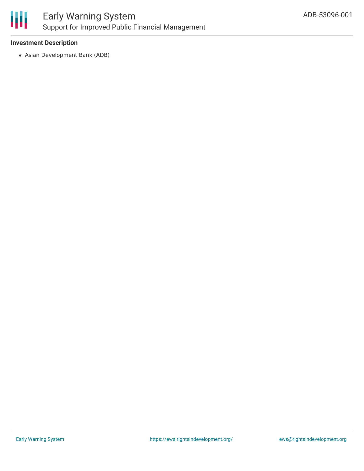

### Early Warning System Support for Improved Public Financial Management

#### **Investment Description**

Asian Development Bank (ADB)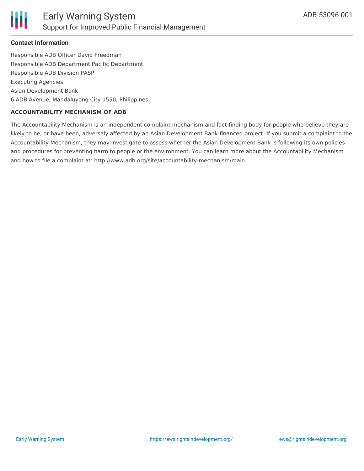

#### **Contact Information**

Responsible ADB Officer David Freedman Responsible ADB Department Pacific Department Responsible ADB Division PASP Executing Agencies Asian Development Bank 6 ADB Avenue, Mandaluyong City 1550, Philippines

#### **ACCOUNTABILITY MECHANISM OF ADB**

The Accountability Mechanism is an independent complaint mechanism and fact-finding body for people who believe they are likely to be, or have been, adversely affected by an Asian Development Bank-financed project. If you submit a complaint to the Accountability Mechanism, they may investigate to assess whether the Asian Development Bank is following its own policies and procedures for preventing harm to people or the environment. You can learn more about the Accountability Mechanism and how to file a complaint at: http://www.adb.org/site/accountability-mechanism/main